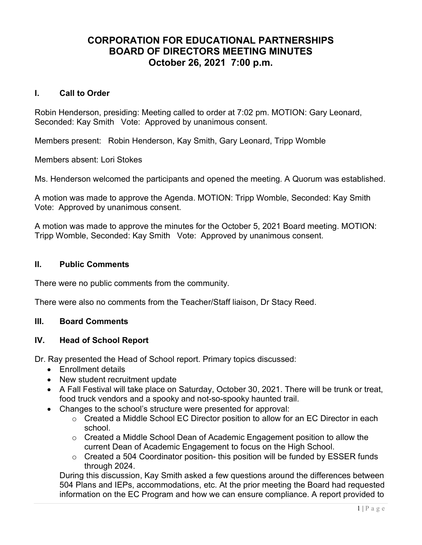# CORPORATION FOR EDUCATIONAL PARTNERSHIPS BOARD OF DIRECTORS MEETING MINUTES October 26, 2021 7:00 p.m.

### I. Call to Order

Robin Henderson, presiding: Meeting called to order at 7:02 pm. MOTION: Gary Leonard, Seconded: Kay Smith Vote: Approved by unanimous consent.

Members present: Robin Henderson, Kay Smith, Gary Leonard, Tripp Womble

Members absent: Lori Stokes

Ms. Henderson welcomed the participants and opened the meeting. A Quorum was established.

A motion was made to approve the Agenda. MOTION: Tripp Womble, Seconded: Kay Smith Vote: Approved by unanimous consent.

A motion was made to approve the minutes for the October 5, 2021 Board meeting. MOTION: Tripp Womble, Seconded: Kay Smith Vote: Approved by unanimous consent.

# II. Public Comments

There were no public comments from the community.

There were also no comments from the Teacher/Staff liaison, Dr Stacy Reed.

### III. Board Comments

# IV. Head of School Report

Dr. Ray presented the Head of School report. Primary topics discussed:

- Enrollment details
- New student recruitment update
- A Fall Festival will take place on Saturday, October 30, 2021. There will be trunk or treat, food truck vendors and a spooky and not-so-spooky haunted trail.
- Changes to the school's structure were presented for approval:
	- o Created a Middle School EC Director position to allow for an EC Director in each school.
	- $\circ$  Created a Middle School Dean of Academic Engagement position to allow the current Dean of Academic Engagement to focus on the High School.
	- $\circ$  Created a 504 Coordinator position-this position will be funded by ESSER funds through 2024.

During this discussion, Kay Smith asked a few questions around the differences between 504 Plans and IEPs, accommodations, etc. At the prior meeting the Board had requested information on the EC Program and how we can ensure compliance. A report provided to